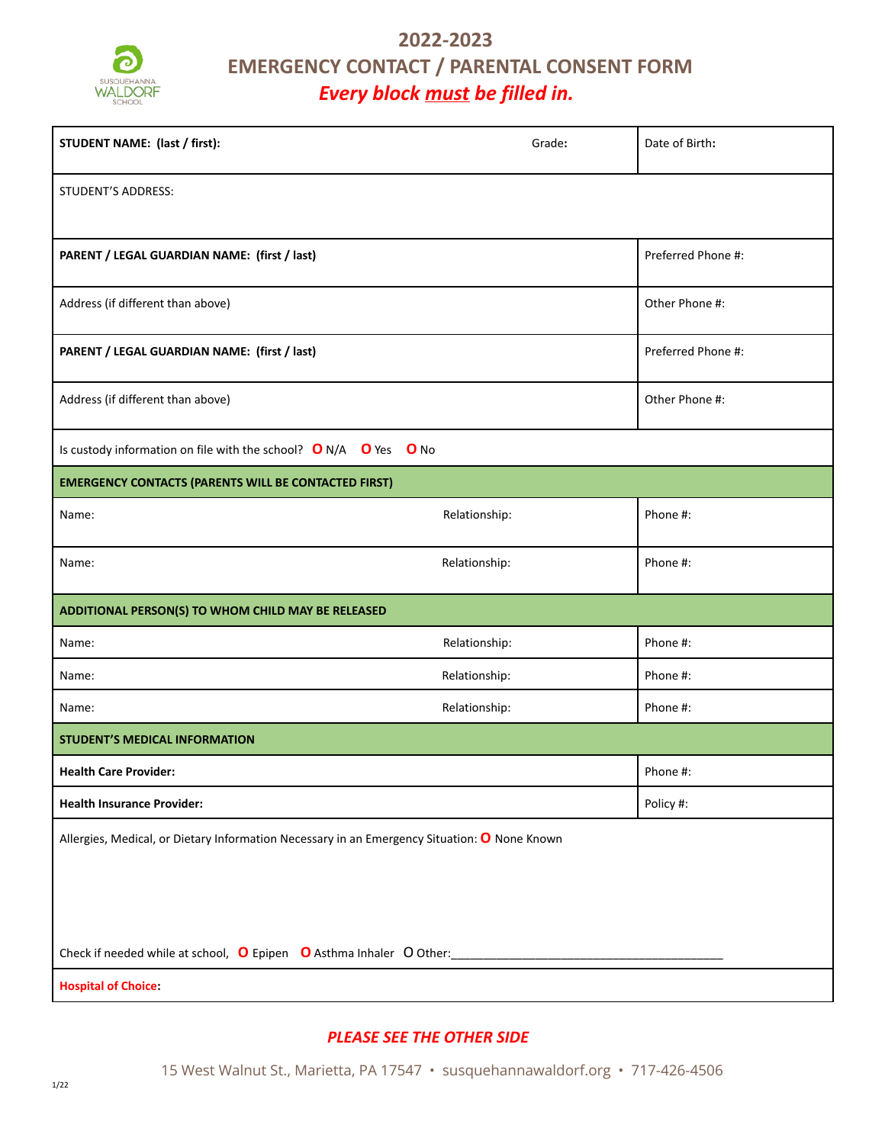

# **2022-2023 EMERGENCY CONTACT / PARENTAL CONSENT FORM** *Every block must be filled in.*

| STUDENT NAME: (last / first):                                                                | Grade:        | Date of Birth:     |  |
|----------------------------------------------------------------------------------------------|---------------|--------------------|--|
| STUDENT'S ADDRESS:                                                                           |               |                    |  |
| PARENT / LEGAL GUARDIAN NAME: (first / last)                                                 |               | Preferred Phone #: |  |
| Address (if different than above)                                                            |               | Other Phone #:     |  |
| PARENT / LEGAL GUARDIAN NAME: (first / last)                                                 |               | Preferred Phone #: |  |
| Address (if different than above)                                                            |               | Other Phone #:     |  |
| Is custody information on file with the school? $O N/A$ $O$ Yes $O$ No                       |               |                    |  |
| <b>EMERGENCY CONTACTS (PARENTS WILL BE CONTACTED FIRST)</b>                                  |               |                    |  |
| Name:                                                                                        | Relationship: | Phone #:           |  |
| Name:                                                                                        | Relationship: | Phone #:           |  |
| ADDITIONAL PERSON(S) TO WHOM CHILD MAY BE RELEASED                                           |               |                    |  |
| Name:                                                                                        | Relationship: | Phone #:           |  |
| Name:                                                                                        | Relationship: | Phone #:           |  |
| Name:                                                                                        | Relationship: | Phone #:           |  |
| <b>STUDENT'S MEDICAL INFORMATION</b>                                                         |               |                    |  |
| <b>Health Care Provider:</b>                                                                 |               | Phone #:           |  |
| <b>Health Insurance Provider:</b>                                                            |               | Policy #:          |  |
| Allergies, Medical, or Dietary Information Necessary in an Emergency Situation: O None Known |               |                    |  |
| Check if needed while at school, O Epipen O Asthma Inhaler O Other:                          |               |                    |  |
| <b>Hospital of Choice:</b>                                                                   |               |                    |  |

# *PLEASE SEE THE OTHER SIDE*